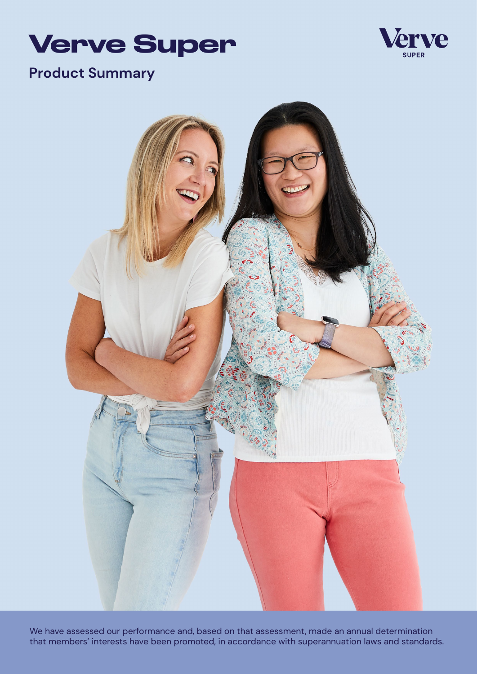



# **Product Summary**



We have assessed our performance and, based on that assessment, made an annual determination that members' interests have been promoted, in accordance with superannuation laws and standards.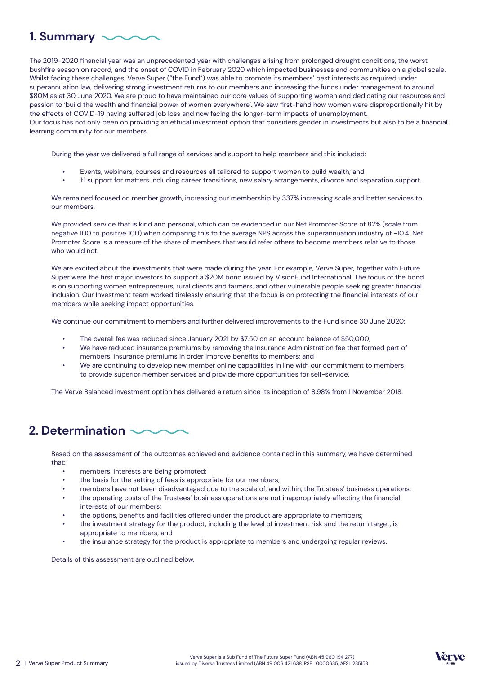# **1. Summary**

learning community for our members.

The 2019-2020 financial year was an unprecedented year with challenges arising from prolonged drought conditions, the worst bushfire season on record, and the onset of COVID in February 2020 which impacted businesses and communities on a global scale. Whilst facing these challenges, Verve Super ("the Fund") was able to promote its members' best interests as required under superannuation law, delivering strong investment returns to our members and increasing the funds under management to around \$80M as at 30 June 2020. We are proud to have maintained our core values of supporting women and dedicating our resources and passion to 'build the wealth and financial power of women everywhere'. We saw first-hand how women were disproportionally hit by the effects of COVID-19 having suffered job loss and now facing the longer-term impacts of unemployment. Our focus has not only been on providing an ethical investment option that considers gender in investments but also to be a financial

During the year we delivered a full range of services and support to help members and this included:

- Events, webinars, courses and resources all tailored to support women to build wealth; and
- 1:1 support for matters including career transitions, new salary arrangements, divorce and separation support.

We remained focused on member growth, increasing our membership by 337% increasing scale and better services to our members.

We provided service that is kind and personal, which can be evidenced in our Net Promoter Score of 82% (scale from negative 100 to positive 100) when comparing this to the average NPS across the superannuation industry of -10.4. Net Promoter Score is a measure of the share of members that would refer others to become members relative to those who would not.

We are excited about the investments that were made during the year. For example, Verve Super, together with Future Super were the first major investors to support a \$20M bond issued by VisionFund International. The focus of the bond is on supporting women entrepreneurs, rural clients and farmers, and other vulnerable people seeking greater financial inclusion. Our Investment team worked tirelessly ensuring that the focus is on protecting the financial interests of our members while seeking impact opportunities.

We continue our commitment to members and further delivered improvements to the Fund since 30 June 2020:

- The overall fee was reduced since January 2021 by \$7.50 on an account balance of \$50,000;
- We have reduced insurance premiums by removing the Insurance Administration fee that formed part of members' insurance premiums in order improve benefits to members; and
- We are continuing to develop new member online capabilities in line with our commitment to members to provide superior member services and provide more opportunities for self-service.

The Verve Balanced investment option has delivered a return since its inception of 8.98% from 1 November 2018.

# **2. Determination**

Based on the assessment of the outcomes achieved and evidence contained in this summary, we have determined that:

- members' interests are being promoted;
- the basis for the setting of fees is appropriate for our members;
- members have not been disadvantaged due to the scale of, and within, the Trustees' business operations;
- the operating costs of the Trustees' business operations are not inappropriately affecting the financial interests of our members;
- the options, benefits and facilities offered under the product are appropriate to members;
- the investment strategy for the product, including the level of investment risk and the return target, is appropriate to members; and
- the insurance strategy for the product is appropriate to members and undergoing regular reviews.

Details of this assessment are outlined below.

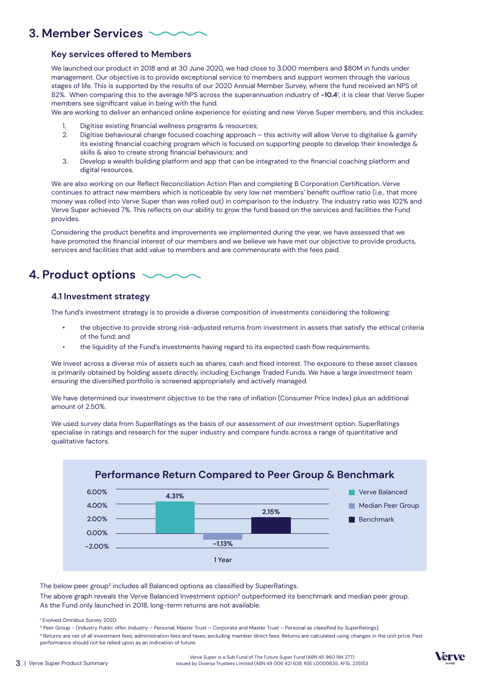### **3. Member Services**

#### **Key services offered to Members**

We launched our product in 2018 and at 30 June 2020, we had close to 3,000 members and \$80M in funds under management. Our objective is to provide exceptional service to members and support women through the various stages of life. This is supported by the results of our 2020 Annual Member Survey, where the fund received an NPS of 82%. When comparing this to the average NPS across the superannuation industry of -10.4<sup>1</sup>, it is clear that Verve Super members see significant value in being with the fund.

We are working to deliver an enhanced online experience for existing and new Verve Super members, and this includes:

- 1. Digitise existing financial wellness programs & resources;
- 2. Digitise behavioural change focused coaching approach this activity will allow Verve to digitalise & gamify its existing financial coaching program which is focused on supporting people to develop their knowledge & skills & also to create strong financial behaviours; and
- 3. Develop a wealth building platform and app that can be integrated to the financial coaching platform and digital resources.

We are also working on our Reflect Reconciliation Action Plan and completing B Corporation Certification. Verve continues to attract new members which is noticeable by very low net members' benefit outflow ratio (i.e., that more money was rolled into Verve Super than was rolled out) in comparison to the industry. The industry ratio was 102% and Verve Super achieved 7%. This reflects on our ability to grow the fund based on the services and facilities the Fund provides.

Considering the product benefits and improvements we implemented during the year, we have assessed that we have promoted the financial interest of our members and we believe we have met our objective to provide products, services and facilities that add value to members and are commensurate with the fees paid.

## **4. Product options**

#### **4.1 Investment strategy**

The fund's investment strategy is to provide a diverse composition of investments considering the following:

- the objective to provide strong risk-adjusted returns from investment in assets that satisfy the ethical criteria of the fund; and
- the liquidity of the Fund's investments having regard to its expected cash flow requirements.

We invest across a diverse mix of assets such as shares, cash and fixed interest. The exposure to these asset classes is primarily obtained by holding assets directly, including Exchange Traded Funds. We have a large investment team ensuring the diversified portfolio is screened appropriately and actively managed.

We have determined our investment objective to be the rate of inflation (Consumer Price Index) plus an additional amount of 2.50%.

We used survey data from SuperRatings as the basis of our assessment of our investment option. SuperRatings specialise in ratings and research for the super industry and compare funds across a range of quantitative and qualitative factors.



The below peer group² includes all Balanced options as classified by SuperRatings.

The above graph reveals the Verve Balanced Investment option<sup>3</sup> outperformed its benchmark and median peer group. As the Fund only launched in 2018, long-term returns are not available.



<sup>&</sup>lt;sup>1</sup> Evolved Omnibus Survey 2020.

² Peer Group - (Industry Public offer, Industry – Personal, Master Trust – Corporate and Master Trust – Personal as classified by SuperRatings). <sup>3</sup> Returns are net of all investment fees, administration fees and taxes, excluding member direct fees. Returns are calculated using changes in the unit price. Past performance should not be relied upon as an indication of future.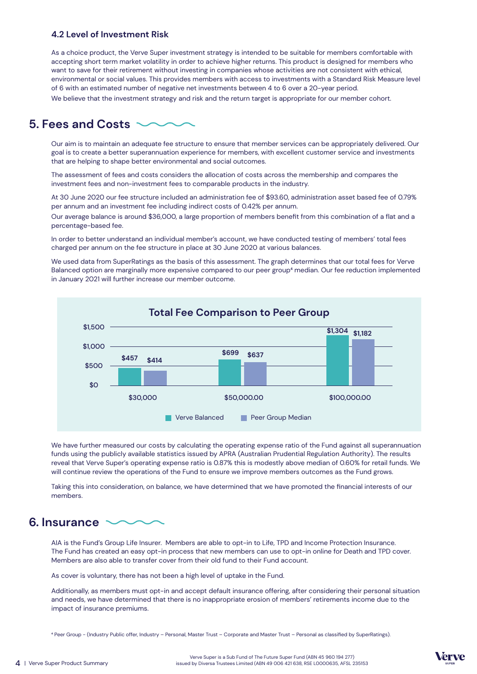#### **4.2 Level of Investment Risk**

As a choice product, the Verve Super investment strategy is intended to be suitable for members comfortable with accepting short term market volatility in order to achieve higher returns. This product is designed for members who want to save for their retirement without investing in companies whose activities are not consistent with ethical, environmental or social values. This provides members with access to investments with a Standard Risk Measure level of 6 with an estimated number of negative net investments between 4 to 6 over a 20-year period. We believe that the investment strategy and risk and the return target is appropriate for our member cohort.

### **5. Fees and Costs**

Our aim is to maintain an adequate fee structure to ensure that member services can be appropriately delivered. Our goal is to create a better superannuation experience for members, with excellent customer service and investments that are helping to shape better environmental and social outcomes.

The assessment of fees and costs considers the allocation of costs across the membership and compares the investment fees and non-investment fees to comparable products in the industry.

At 30 June 2020 our fee structure included an administration fee of \$93.60, administration asset based fee of 0.79% per annum and an investment fee including indirect costs of 0.42% per annum.

Our average balance is around \$36,000, a large proportion of members benefit from this combination of a flat and a percentage-based fee.

In order to better understand an individual member's account, we have conducted testing of members' total fees charged per annum on the fee structure in place at 30 June 2020 at various balances.

We used data from SuperRatings as the basis of this assessment. The graph determines that our total fees for Verve Balanced option are marginally more expensive compared to our peer group<sup>4</sup> median. Our fee reduction implemented in January 2021 will further increase our member outcome.



We have further measured our costs by calculating the operating expense ratio of the Fund against all superannuation funds using the publicly available statistics issued by APRA (Australian Prudential Regulation Authority). The results reveal that Verve Super's operating expense ratio is 0.87% this is modestly above median of 0.60% for retail funds. We will continue review the operations of the Fund to ensure we improve members outcomes as the Fund grows.

Taking this into consideration, on balance, we have determined that we have promoted the financial interests of our members.

### **6. Insurance**

AIA is the Fund's Group Life Insurer. Members are able to opt-in to Life, TPD and Income Protection Insurance. The Fund has created an easy opt-in process that new members can use to opt-in online for Death and TPD cover. Members are also able to transfer cover from their old fund to their Fund account.

As cover is voluntary, there has not been a high level of uptake in the Fund.

Additionally, as members must opt-in and accept default insurance offering, after considering their personal situation and needs, we have determined that there is no inappropriate erosion of members' retirements income due to the impact of insurance premiums.

⁴ Peer Group - (Industry Public offer, Industry – Personal, Master Trust – Corporate and Master Trust – Personal as classified by SuperRatings).